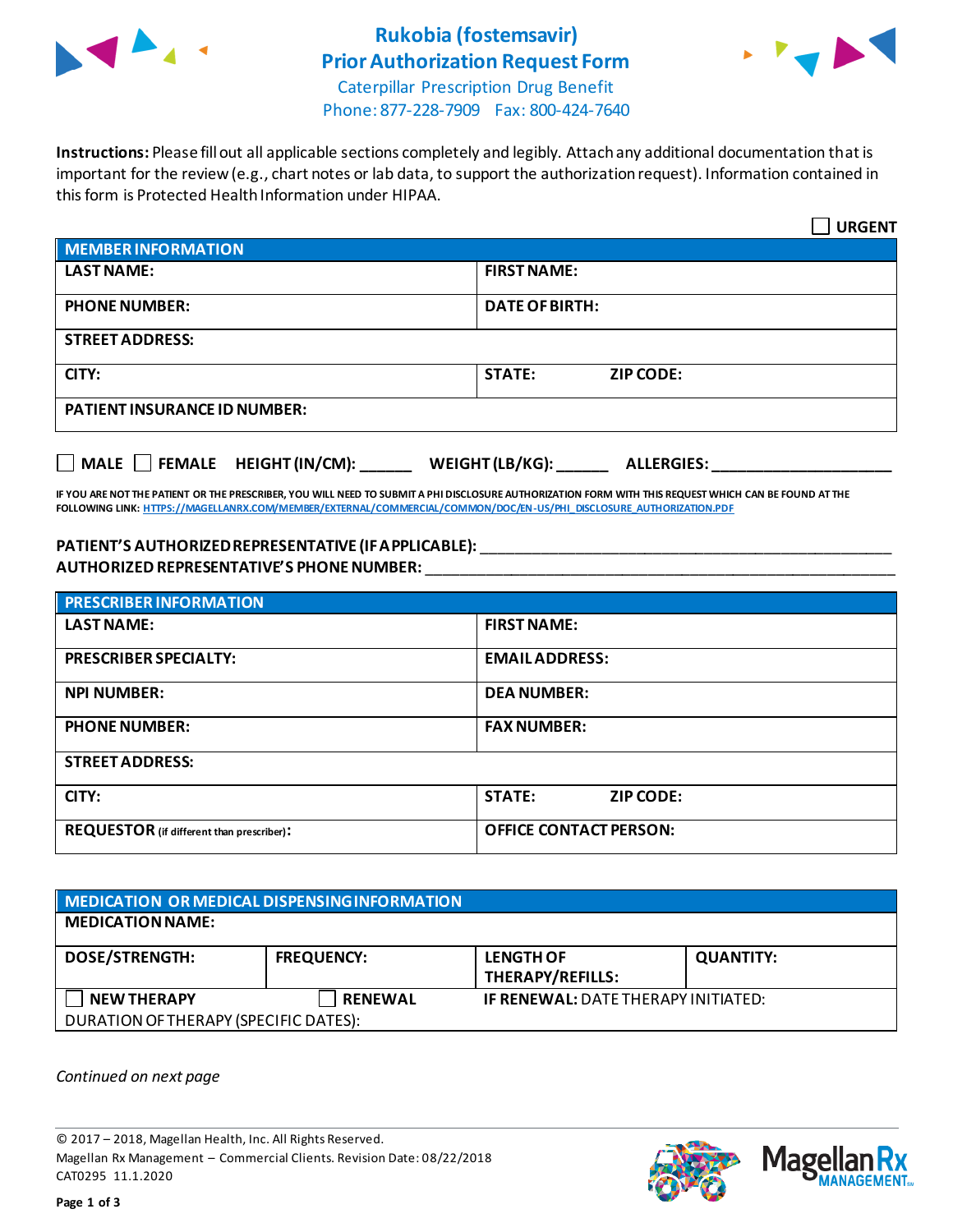

## **Rukobia (fostemsavir) Prior Authorization Request Form**



Caterpillar Prescription Drug Benefit Phone: 877-228-7909 Fax: 800-424-7640

**Instructions:** Please fill out all applicable sections completely and legibly. Attach any additional documentation that is important for the review (e.g., chart notes or lab data, to support the authorization request). Information contained in this form is Protected Health Information under HIPAA.

|                                                                                   | <b>URGENT</b>                     |  |  |  |
|-----------------------------------------------------------------------------------|-----------------------------------|--|--|--|
| <b>MEMBER INFORMATION</b>                                                         |                                   |  |  |  |
| <b>LAST NAME:</b>                                                                 | <b>FIRST NAME:</b>                |  |  |  |
| <b>PHONE NUMBER:</b>                                                              | <b>DATE OF BIRTH:</b>             |  |  |  |
| <b>STREET ADDRESS:</b>                                                            |                                   |  |  |  |
| CITY:                                                                             | <b>STATE:</b><br><b>ZIP CODE:</b> |  |  |  |
| <b>PATIENT INSURANCE ID NUMBER:</b>                                               |                                   |  |  |  |
| $\Box$ MALE $\Box$ FEMALE HEIGHT (IN/CM):<br>WEIGHT (LB/KG):<br><b>ALLERGIES:</b> |                                   |  |  |  |

**IF YOU ARE NOT THE PATIENT OR THE PRESCRIBER, YOU WILL NEED TO SUBMIT A PHI DISCLOSURE AUTHORIZATION FORM WITH THIS REQUEST WHICH CAN BE FOUND AT THE FOLLOWING LINK[: HTTPS://MAGELLANRX.COM/MEMBER/EXTERNAL/COMMERCIAL/COMMON/DOC/EN-US/PHI\\_DISCLOSURE\\_AUTHORIZATION.PDF](https://magellanrx.com/member/external/commercial/common/doc/en-us/PHI_Disclosure_Authorization.pdf)**

## **PATIENT'S AUTHORIZED REPRESENTATIVE (IF APPLICABLE):** \_\_\_\_\_\_\_\_\_\_\_\_\_\_\_\_\_\_\_\_\_\_\_\_\_\_\_\_\_\_\_\_\_\_\_\_\_\_\_\_\_\_\_\_\_\_\_\_ **AUTHORIZED REPRESENTATIVE'S PHONE NUMBER:** \_\_\_\_\_\_\_\_\_\_\_\_\_\_\_\_\_\_\_\_\_\_\_\_\_\_\_\_\_\_\_\_\_\_\_\_\_\_\_\_\_\_\_\_\_\_\_\_\_\_\_\_\_\_\_

| <b>PRESCRIBER INFORMATION</b>             |                                   |  |  |
|-------------------------------------------|-----------------------------------|--|--|
| <b>LAST NAME:</b>                         | <b>FIRST NAME:</b>                |  |  |
| <b>PRESCRIBER SPECIALTY:</b>              | <b>EMAIL ADDRESS:</b>             |  |  |
| <b>NPI NUMBER:</b>                        | <b>DEA NUMBER:</b>                |  |  |
| <b>PHONE NUMBER:</b>                      | <b>FAX NUMBER:</b>                |  |  |
| <b>STREET ADDRESS:</b>                    |                                   |  |  |
| CITY:                                     | <b>STATE:</b><br><b>ZIP CODE:</b> |  |  |
| REQUESTOR (if different than prescriber): | <b>OFFICE CONTACT PERSON:</b>     |  |  |

| MEDICATION OR MEDICAL DISPENSING INFORMATION |                   |                                             |                  |  |  |
|----------------------------------------------|-------------------|---------------------------------------------|------------------|--|--|
| <b>MEDICATION NAME:</b>                      |                   |                                             |                  |  |  |
| <b>DOSE/STRENGTH:</b>                        | <b>FREQUENCY:</b> | <b>LENGTH OF</b><br><b>THERAPY/REFILLS:</b> | <b>QUANTITY:</b> |  |  |
| <b>NEW THERAPY</b>                           | <b>RENEWAL</b>    | <b>IF RENEWAL: DATE THERAPY INITIATED:</b>  |                  |  |  |
| DURATION OF THERAPY (SPECIFIC DATES):        |                   |                                             |                  |  |  |

*Continued on next page*

© 2017 – 2018, Magellan Health, Inc. All Rights Reserved. Magellan Rx Management – Commercial Clients. Revision Date: 08/22/2018 CAT0295 11.1.2020



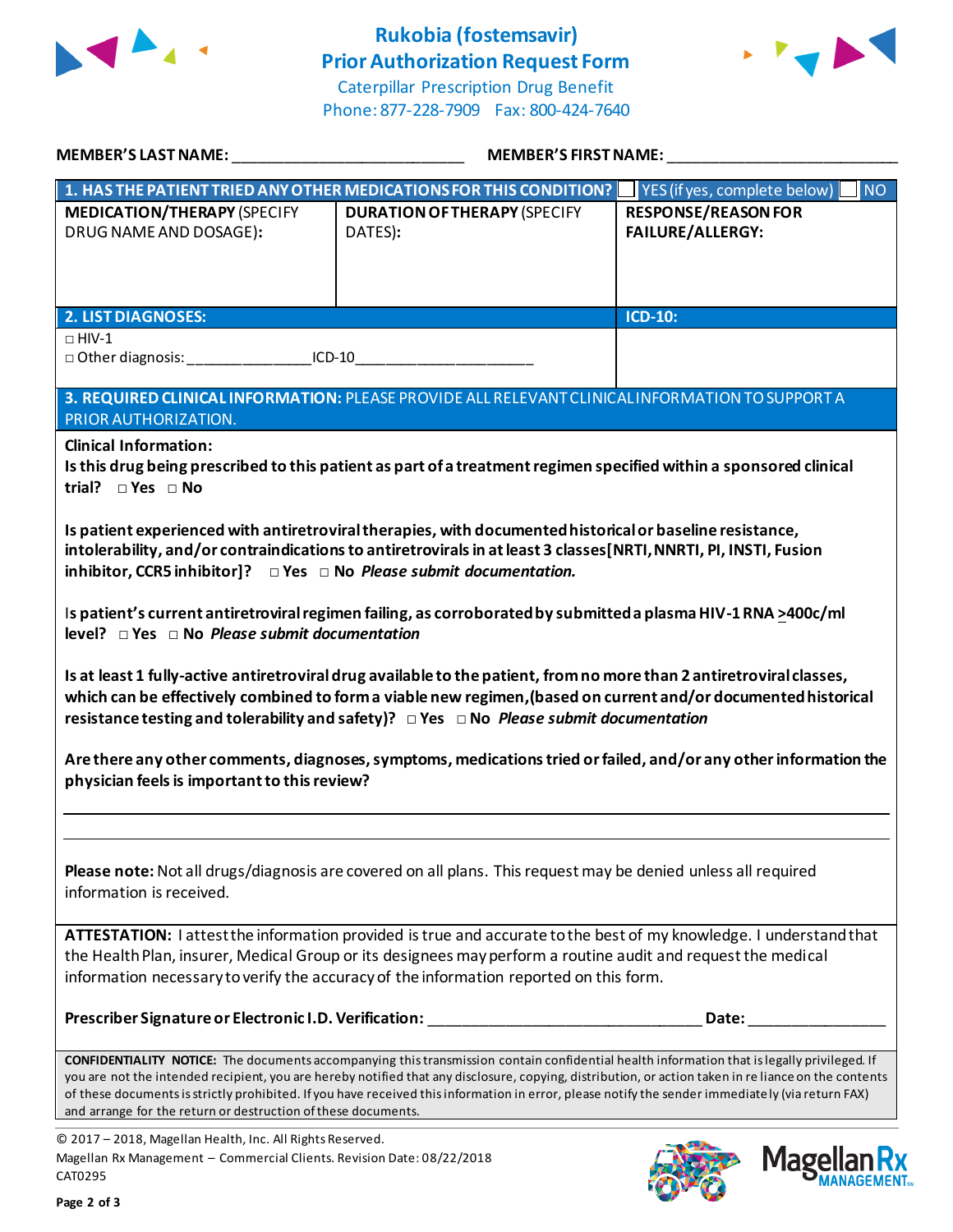

## **Rukobia (fostemsavir) Prior Authorization Request Form**



Caterpillar Prescription Drug Benefit Phone: 877-228-7909 Fax: 800-424-7640

| MEMBER'S LAST NAME:                                                                                                                                                                                                                                                                                                                                                                                                                                                                                                             | <b>MEMBER'S FIRST NAME:</b>                                                                     |                                                           |  |  |
|---------------------------------------------------------------------------------------------------------------------------------------------------------------------------------------------------------------------------------------------------------------------------------------------------------------------------------------------------------------------------------------------------------------------------------------------------------------------------------------------------------------------------------|-------------------------------------------------------------------------------------------------|-----------------------------------------------------------|--|--|
|                                                                                                                                                                                                                                                                                                                                                                                                                                                                                                                                 | 1. HAS THE PATIENT TRIED ANY OTHER MEDICATIONS FOR THIS CONDITION?                              | $\vert$ YES (if yes, complete below) $\vert$<br><b>NO</b> |  |  |
| <b>MEDICATION/THERAPY (SPECIFY</b><br>DRUG NAME AND DOSAGE):                                                                                                                                                                                                                                                                                                                                                                                                                                                                    | <b>DURATION OF THERAPY (SPECIFY</b><br>DATES):                                                  | <b>RESPONSE/REASON FOR</b><br><b>FAILURE/ALLERGY:</b>     |  |  |
| <b>2. LIST DIAGNOSES:</b>                                                                                                                                                                                                                                                                                                                                                                                                                                                                                                       |                                                                                                 | <b>ICD-10:</b>                                            |  |  |
| $\Box$ HIV-1                                                                                                                                                                                                                                                                                                                                                                                                                                                                                                                    |                                                                                                 |                                                           |  |  |
| PRIOR AUTHORIZATION.                                                                                                                                                                                                                                                                                                                                                                                                                                                                                                            | 3. REQUIRED CLINICAL INFORMATION: PLEASE PROVIDE ALL RELEVANT CLINICAL INFORMATION TO SUPPORT A |                                                           |  |  |
| <b>Clinical Information:</b><br>Is this drug being prescribed to this patient as part of a treatment regimen specified within a sponsored clinical<br>trial? $\square$ Yes $\square$ No                                                                                                                                                                                                                                                                                                                                         |                                                                                                 |                                                           |  |  |
| Is patient experienced with antiretroviral therapies, with documented historical or baseline resistance,<br>intolerability, and/or contraindications to antiretrovirals in at least 3 classes[NRTI, NNRTI, PI, INSTI, Fusion<br>inhibitor, CCR5 inhibitor]? $\Box$ Yes $\Box$ No Please submit documentation.                                                                                                                                                                                                                   |                                                                                                 |                                                           |  |  |
| Is patient's current antiretroviral regimen failing, as corroborated by submitted a plasma HIV-1 RNA >400c/ml<br>$level? \Box Yes \Box No$ Please submit documentation                                                                                                                                                                                                                                                                                                                                                          |                                                                                                 |                                                           |  |  |
| Is at least 1 fully-active antiretroviral drug available to the patient, from no more than 2 antiretroviral classes,<br>which can be effectively combined to form a viable new regimen, (based on current and/or documented historical<br>resistance testing and tolerability and safety)? $\Box$ Yes $\Box$ No Please submit documentation                                                                                                                                                                                     |                                                                                                 |                                                           |  |  |
| Are there any other comments, diagnoses, symptoms, medications tried or failed, and/or any other information the<br>physician feels is important to this review?                                                                                                                                                                                                                                                                                                                                                                |                                                                                                 |                                                           |  |  |
|                                                                                                                                                                                                                                                                                                                                                                                                                                                                                                                                 |                                                                                                 |                                                           |  |  |
| Please note: Not all drugs/diagnosis are covered on all plans. This request may be denied unless all required<br>information is received.                                                                                                                                                                                                                                                                                                                                                                                       |                                                                                                 |                                                           |  |  |
| ATTESTATION: I attest the information provided is true and accurate to the best of my knowledge. I understand that<br>the Health Plan, insurer, Medical Group or its designees may perform a routine audit and request the medical<br>information necessary to verify the accuracy of the information reported on this form.                                                                                                                                                                                                    |                                                                                                 |                                                           |  |  |
|                                                                                                                                                                                                                                                                                                                                                                                                                                                                                                                                 | Prescriber Signature or Electronic I.D. Verification: __________________________                | Date:                                                     |  |  |
| <b>CONFIDENTIALITY NOTICE:</b> The documents accompanying this transmission contain confidential health information that is legally privileged. If<br>you are not the intended recipient, you are hereby notified that any disclosure, copying, distribution, or action taken in re liance on the contents<br>of these documents is strictly prohibited. If you have received this information in error, please notify the sender immediately (via return FAX)<br>and arrange for the return or destruction of these documents. |                                                                                                 |                                                           |  |  |
| @ 2017 - 2018, Marellan Health, Inc. All Rights Reserved                                                                                                                                                                                                                                                                                                                                                                                                                                                                        |                                                                                                 |                                                           |  |  |

© 2017 – 2018, Magellan Health, Inc. All Rights Reserved. Magellan Rx Management – Commercial Clients. Revision Date: 08/22/2018 CAT0295



Mag

**ANAGEMENT**<sub>SM</sub>